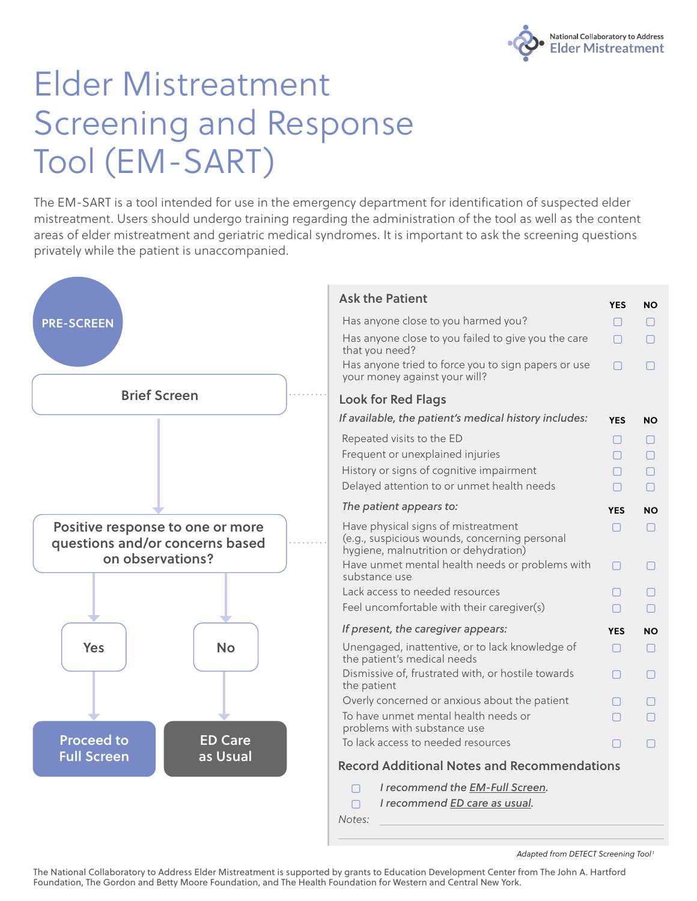

## Elder Mistreatment Screening and Response Tool (EM-SART)

The EM-SART is a tool intended for use in the emergency department for identification of suspected elder mistreatment. Users should undergo training regarding the administration of the tool as well as the content areas of elder mistreatment and geriatric medical syndromes. It is important to ask the screening questions privately while the patient is unaccompanied.



The National Collaboratory to Address Elder Mistreatment is supported by grants to Education Development Center from The John A. Hartford Foundation, The Gordon and Betty Moore Foundation, and The Health Foundation for Western and Central New York.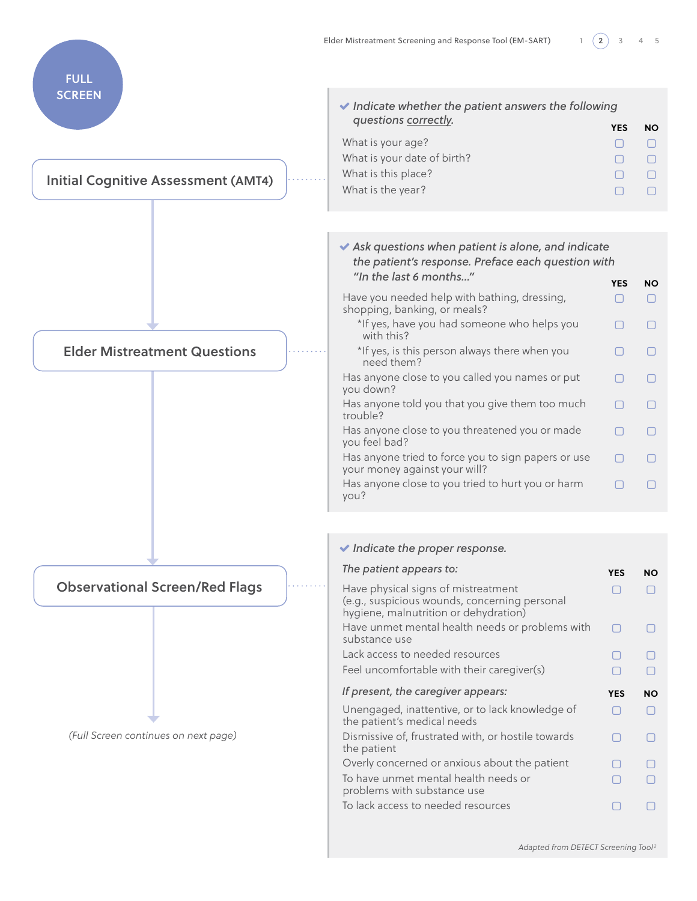

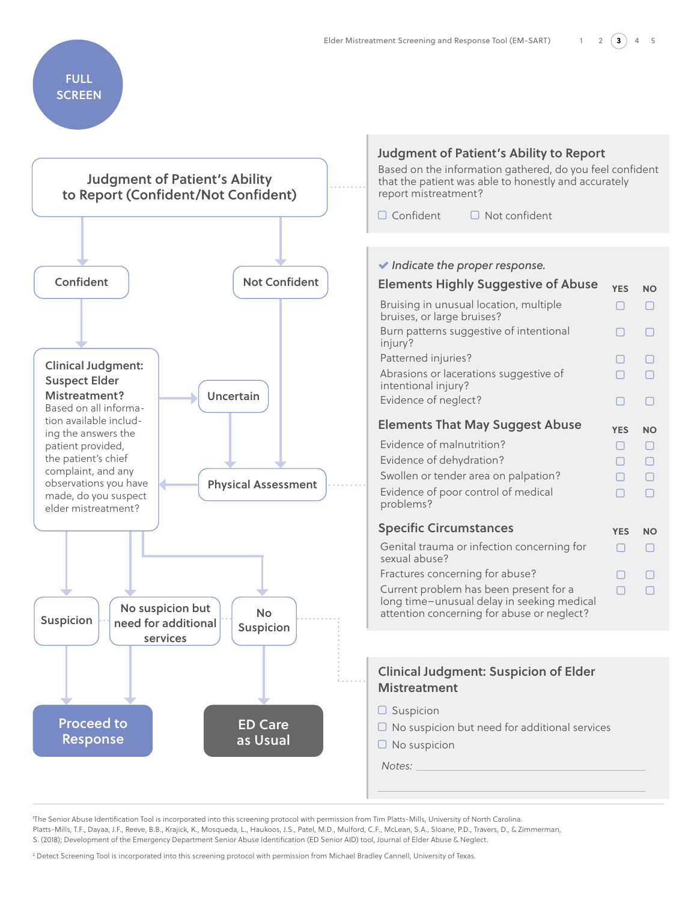## FULL **SCREEN**



1 The Senior Abuse Identification Tool is incorporated into this screening protocol with permission from Tim Platts-Mills, University of North Carolina. Platts-Mills, T.F., Dayaa, J.F., Reeve, B.B., Krajick, K., Mosqueda, L., Haukoos, J.S., Patel, M.D., Mulford, C.F., McLean, S.A., Sloane, P.D., Travers, D., & Zimmerman, S. (2018); Development of the Emergency Department Senior Abuse Identification (ED Senior AID) tool, Journal of Elder Abuse & Neglect.

2 Detect Screening Tool is incorporated into this screening protocol with permission from Michael Bradley Cannell, University of Texas.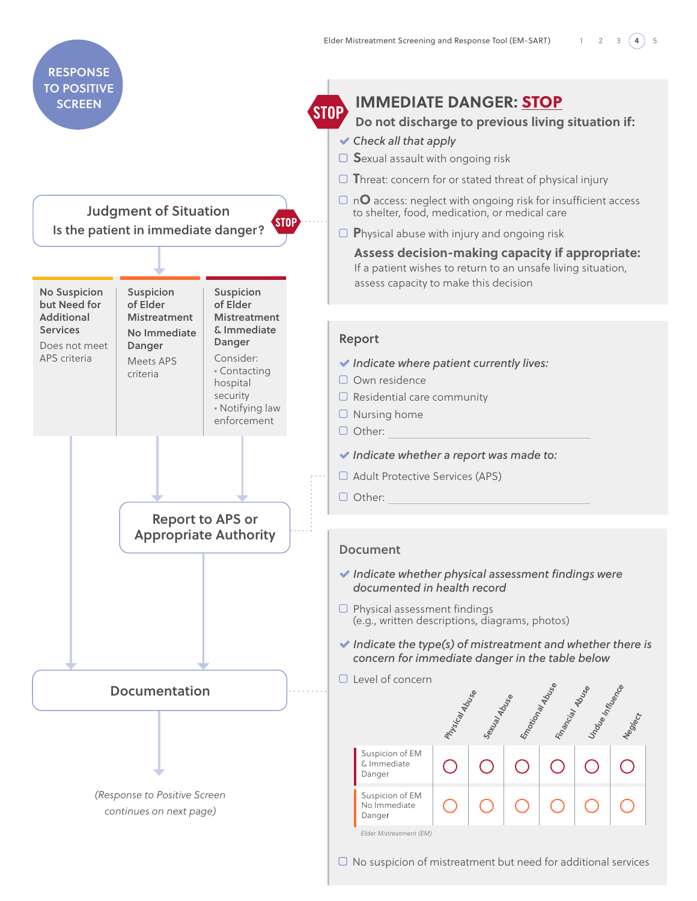

 $\Box$  No suspicion of mistreatment but need for additional services